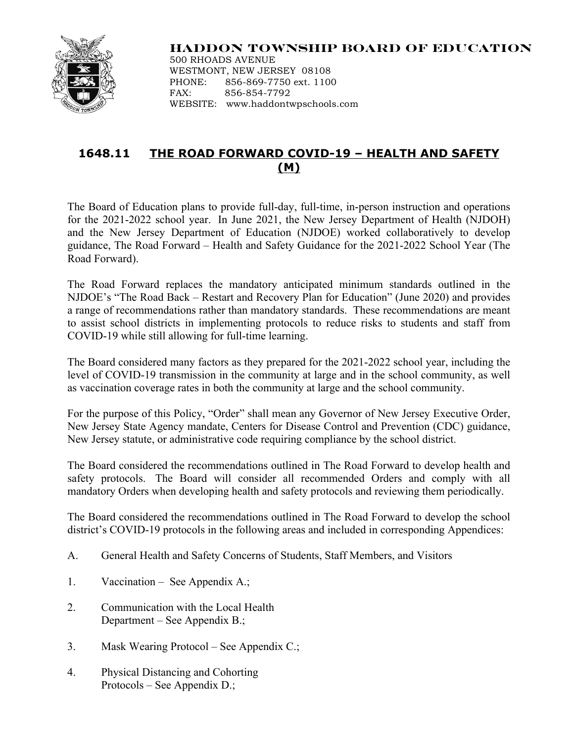

## **HADDON TOWNSHIP BOARD OF EDUCATION**

500 RHOADS AVENUE WESTMONT, NEW JERSEY 08108 PHONE: 856-869-7750 ext. 1100 FAX: 856-854-7792 WEBSITE: www.haddontwpschools.com

## **1648.11 THE ROAD FORWARD COVID-19 – HEALTH AND SAFETY (M)**

The Board of Education plans to provide full-day, full-time, in-person instruction and operations for the 2021-2022 school year. In June 2021, the New Jersey Department of Health (NJDOH) and the New Jersey Department of Education (NJDOE) worked collaboratively to develop guidance, The Road Forward – Health and Safety Guidance for the 2021-2022 School Year (The Road Forward).

The Road Forward replaces the mandatory anticipated minimum standards outlined in the NJDOE's "The Road Back – Restart and Recovery Plan for Education" (June 2020) and provides a range of recommendations rather than mandatory standards. These recommendations are meant to assist school districts in implementing protocols to reduce risks to students and staff from COVID-19 while still allowing for full-time learning.

The Board considered many factors as they prepared for the 2021-2022 school year, including the level of COVID-19 transmission in the community at large and in the school community, as well as vaccination coverage rates in both the community at large and the school community.

For the purpose of this Policy, "Order" shall mean any Governor of New Jersey Executive Order, New Jersey State Agency mandate, Centers for Disease Control and Prevention (CDC) guidance, New Jersey statute, or administrative code requiring compliance by the school district.

The Board considered the recommendations outlined in The Road Forward to develop health and safety protocols. The Board will consider all recommended Orders and comply with all mandatory Orders when developing health and safety protocols and reviewing them periodically.

The Board considered the recommendations outlined in The Road Forward to develop the school district's COVID-19 protocols in the following areas and included in corresponding Appendices:

- A. General Health and Safety Concerns of Students, Staff Members, and Visitors
- 1. Vaccination See Appendix A.;
- 2. Communication with the Local Health Department – See Appendix B.;
- 3. Mask Wearing Protocol See Appendix C.;
- 4. Physical Distancing and Cohorting Protocols – See Appendix D.;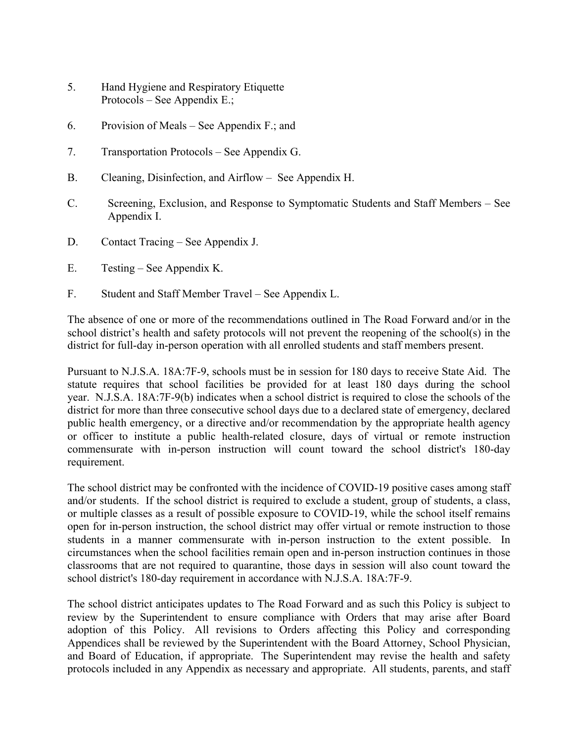- 5. Hand Hygiene and Respiratory Etiquette Protocols – See Appendix E.;
- 6. Provision of Meals See Appendix F.; and
- 7. Transportation Protocols See Appendix G.
- B. Cleaning, Disinfection, and Airflow See Appendix H.
- C. Screening, Exclusion, and Response to Symptomatic Students and Staff Members See Appendix I.
- D. Contact Tracing See Appendix J.
- E. Testing See Appendix K.
- F. Student and Staff Member Travel See Appendix L.

The absence of one or more of the recommendations outlined in The Road Forward and/or in the school district's health and safety protocols will not prevent the reopening of the school(s) in the district for full-day in-person operation with all enrolled students and staff members present.

Pursuant to N.J.S.A. 18A:7F-9, schools must be in session for 180 days to receive State Aid. The statute requires that school facilities be provided for at least 180 days during the school year. N.J.S.A. 18A:7F-9(b) indicates when a school district is required to close the schools of the district for more than three consecutive school days due to a declared state of emergency, declared public health emergency, or a directive and/or recommendation by the appropriate health agency or officer to institute a public health-related closure, days of virtual or remote instruction commensurate with in-person instruction will count toward the school district's 180-day requirement.

The school district may be confronted with the incidence of COVID-19 positive cases among staff and/or students. If the school district is required to exclude a student, group of students, a class, or multiple classes as a result of possible exposure to COVID-19, while the school itself remains open for in-person instruction, the school district may offer virtual or remote instruction to those students in a manner commensurate with in-person instruction to the extent possible. In circumstances when the school facilities remain open and in-person instruction continues in those classrooms that are not required to quarantine, those days in session will also count toward the school district's 180-day requirement in accordance with N.J.S.A. 18A:7F-9.

The school district anticipates updates to The Road Forward and as such this Policy is subject to review by the Superintendent to ensure compliance with Orders that may arise after Board adoption of this Policy. All revisions to Orders affecting this Policy and corresponding Appendices shall be reviewed by the Superintendent with the Board Attorney, School Physician, and Board of Education, if appropriate. The Superintendent may revise the health and safety protocols included in any Appendix as necessary and appropriate. All students, parents, and staff